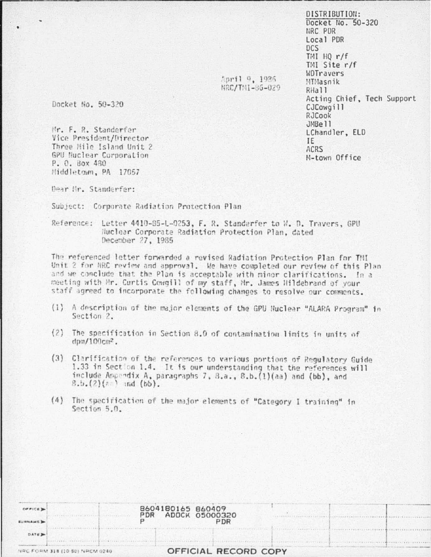DISTRIBUTION: Docket No.  $50-320$ NRC PDR Local PDR DCS TMI HQ r/f TMI Site r/f WDTravers MTMasnik RHall Acting Chief, Tech Support CJCowgill RJCook JMBell LChandler, ELD IE **ACRS** M-town Office

 $1.111$ 

Spril 9, 1926 NRC/TNT-86-029

Docket No. 50-320

Mr. F. R. Standerfer Vice President/Director Three Mile Island Unit 2 GPU Nuclear Corporation P. O. Box 480 Middletown, PA 17057

Dear Hr. Standerfer:

Subject: Corporate Radiation Protection Plan

Reference: Letter 4410-85-L-0253, F. R. Standerfer to W. D. Travers, GPU Nuclear Corporate Radiation Protection Plan, dated December 27, 1985

The referenced letter forwarded a revised Radiation Protection Plan for TMI Unit 2 for NRC review and approval. We have completed our review of this Plan and we conclude that the Plan is acceptable with minor clarifications. In a meeting with Mr. Curtis Cowgill of my staff, Mr. James Hildebrand of your staff agreed to incorporate the following changes to resolve our comments.

- (1) A description of the major elements of the GPU Nuclear "ALARA Program" in Section 2.
- $(2)$ The specification in Section 8.0 of contamination limits in units of  $dm/100cm<sup>2</sup>$ .
- (3) Clarification of the references to various portions of Regulatory Guide 1.33 in Section 1.4. It is our understanding that the references will include Appendix A, paragraphs 7, B.a., 8.b. (1)(aa) and (bb), and  $8.b.(2)(z)$  and  $(bb)$ .
- (4) The specification of the major elements of "Category I training" in Section 5.0.

| OFFICE De      | PDR                            | 8604180165 860409<br>ADOCK 05000320 |  |
|----------------|--------------------------------|-------------------------------------|--|
| <b>SURNAME</b> |                                | PDR                                 |  |
| DATE D         |                                |                                     |  |
|                | NRC FORM 318 (10 S0) NRCM 0240 | OFFICIAL RECORD COPY                |  |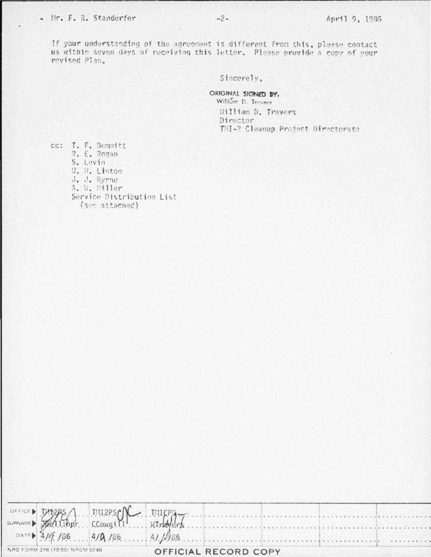## - Nr. F. R. Standerfer

Sincerely.

ORIGINAL SIGNED BY. William D. Trovers William D. Travers Director THI-2 Cleanup Project Directorate

cc: T. F. Demmitt R. E. Rogan S. Levin W. H. Linton J. J. Byrne A. W. Miller Service Distribution List (sec attached)

OFFICE TMI2PSC TU-12RS THICP CCowgill **SURNAME** WTrak  $e^{\gamma}$ . : npr DATE) /86  $41/486$  $4/4$  $4/\Omega$  /86.  $\mathbf{1}$ . . *.* . . . . . . . . . . NRC FORM 318 (10.80) NRCM 0240 OFFICIAL RECORD COPY